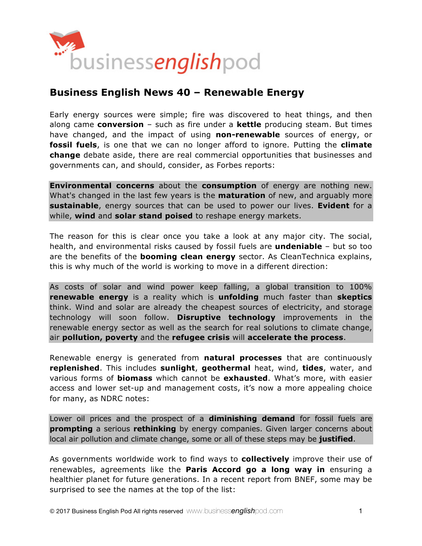

# **Business English News 40 – Renewable Energy**

Early energy sources were simple; fire was discovered to heat things, and then along came **conversion** – such as fire under a **kettle** producing steam. But times have changed, and the impact of using **non-renewable** sources of energy, or **fossil fuels**, is one that we can no longer afford to ignore. Putting the **climate change** debate aside, there are real commercial opportunities that businesses and governments can, and should, consider, as Forbes reports:

**Environmental concerns** about the **consumption** of energy are nothing new. What's changed in the last few years is the **maturation** of new, and arguably more **sustainable**, energy sources that can be used to power our lives. **Evident** for a while, **wind** and **solar stand poised** to reshape energy markets.

The reason for this is clear once you take a look at any major city. The social, health, and environmental risks caused by fossil fuels are **undeniable** – but so too are the benefits of the **booming clean energy** sector. As CleanTechnica explains, this is why much of the world is working to move in a different direction:

As costs of solar and wind power keep falling, a global transition to 100% **renewable energy** is a reality which is **unfolding** much faster than **skeptics** think. Wind and solar are already the cheapest sources of electricity, and storage technology will soon follow. **Disruptive technology** improvements in the renewable energy sector as well as the search for real solutions to climate change, air **pollution, poverty** and the **refugee crisis** will **accelerate the process**.

Renewable energy is generated from **natural processes** that are continuously **replenished**. This includes **sunlight**, **geothermal** heat, wind, **tides**, water, and various forms of **biomass** which cannot be **exhausted**. What's more, with easier access and lower set-up and management costs, it's now a more appealing choice for many, as NDRC notes:

Lower oil prices and the prospect of a **diminishing demand** for fossil fuels are **prompting** a serious **rethinking** by energy companies. Given larger concerns about local air pollution and climate change, some or all of these steps may be **justified**.

As governments worldwide work to find ways to **collectively** improve their use of renewables, agreements like the **Paris Accord go a long way in** ensuring a healthier planet for future generations. In a recent report from BNEF, some may be surprised to see the names at the top of the list: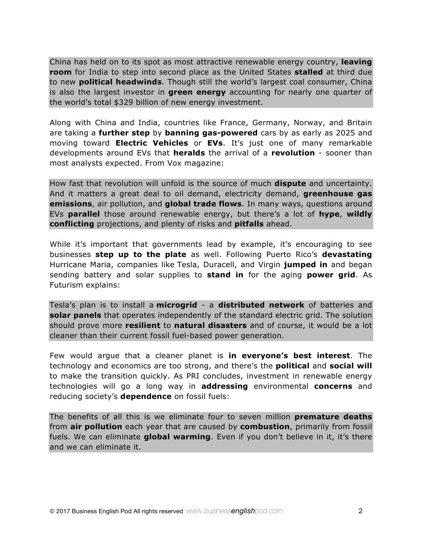China has held on to its spot as most attractive renewable energy country, **leaving room** for India to step into second place as the United States **stalled** at third due to new **political headwinds**. Though still the world's largest coal consumer, China is also the largest investor in **green energy** accounting for nearly one quarter of the world's total \$329 billion of new energy investment.

Along with China and India, countries like France, Germany, Norway, and Britain are taking a **further step** by **banning gas-powered** cars by as early as 2025 and moving toward **Electric Vehicles** or **EVs**. It's just one of many remarkable developments around EVs that **heralds** the arrival of a **revolution** - sooner than most analysts expected. From Vox magazine:

How fast that revolution will unfold is the source of much **dispute** and uncertainty. And it matters a great deal to oil demand, electricity demand, **greenhouse gas emissions**, air pollution, and **global trade flows**. In many ways, questions around EVs **parallel** those around renewable energy, but there's a lot of **hype**, **wildly conflicting** projections, and plenty of risks and **pitfalls** ahead.

While it's important that governments lead by example, it's encouraging to see businesses **step up to the plate** as well. Following Puerto Rico's **devastating** Hurricane Maria, companies like Tesla, Duracell, and Virgin **jumped in** and began sending battery and solar supplies to **stand in** for the aging **power grid**. As Futurism explains:

Tesla's plan is to install a **microgrid** - a **distributed network** of batteries and **solar panels** that operates independently of the standard electric grid. The solution should prove more **resilient** to **natural disasters** and of course, it would be a lot cleaner than their current fossil fuel-based power generation.

Few would argue that a cleaner planet is **in everyone's best interest**. The technology and economics are too strong, and there's the **political** and **social will** to make the transition quickly. As PRI concludes, investment in renewable energy technologies will go a long way in **addressing** environmental **concerns** and reducing society's **dependence** on fossil fuels:

The benefits of all this is we eliminate four to seven million **premature deaths** from **air pollution** each year that are caused by **combustion**, primarily from fossil fuels. We can eliminate **global warming**. Even if you don't believe in it, it's there and we can eliminate it.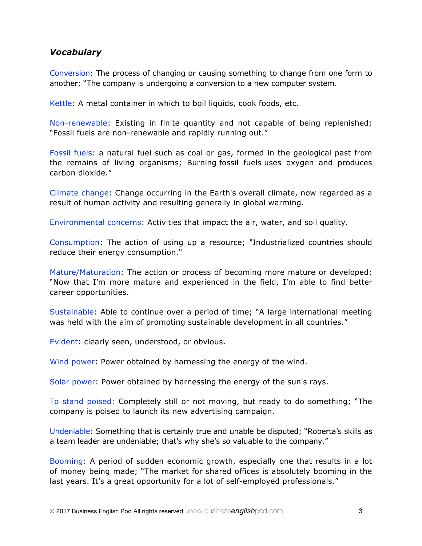### *Vocabulary*

Conversion: The process of changing or causing something to change from one form to another; "The company is undergoing a conversion to a new computer system.

Kettle: A metal container in which to boil liquids, cook foods, etc.

Non-renewable: Existing in finite quantity and not capable of being replenished; "Fossil fuels are non-renewable and rapidly running out."

Fossil fuels: a natural fuel such as coal or gas, formed in the geological past from the remains of living organisms; Burning fossil fuels uses oxygen and produces carbon dioxide."

Climate change: Change occurring in the Earth's overall climate, now regarded as a result of human activity and resulting generally in global warming.

Environmental concerns: Activities that impact the air, water, and soil quality.

Consumption: The action of using up a resource; "Industrialized countries should reduce their energy consumption."

Mature/Maturation: The action or process of becoming more mature or developed; "Now that I'm more mature and experienced in the field, I'm able to find better career opportunities.

Sustainable: Able to continue over a period of time; "A large international meeting was held with the aim of promoting sustainable development in all countries."

Evident: clearly seen, understood, or obvious.

Wind power: Power obtained by harnessing the energy of the wind.

Solar power: Power obtained by harnessing the energy of the sun's rays.

To stand poised: Completely still or not moving, but ready to do something; "The company is poised to launch its new advertising campaign.

Undeniable: Something that is certainly true and unable be disputed; "Roberta's skills as a team leader are undeniable; that's why she's so valuable to the company."

Booming: A period of sudden economic growth, especially one that results in a lot of money being made; "The market for shared offices is absolutely booming in the last years. It's a great opportunity for a lot of self-employed professionals."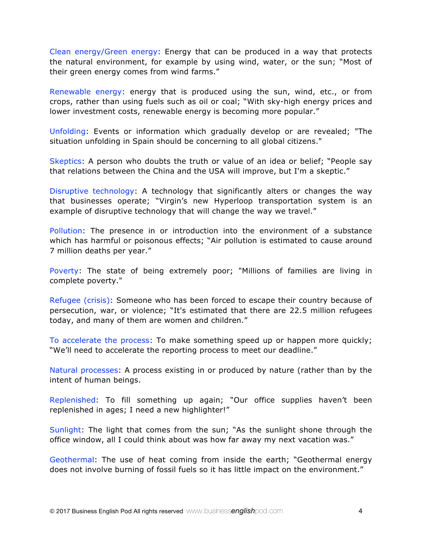Clean energy/Green energy: Energy that can be produced in a way that protects the natural environment, for example by using wind, water, or the sun; "Most of their green energy comes from wind farms."

Renewable energy: energy that is produced using the sun, wind, etc., or from crops, rather than using fuels such as oil or coal; "With sky-high energy prices and lower investment costs, renewable energy is becoming more popular."

Unfolding: Events or information which gradually develop or are revealed; "The situation unfolding in Spain should be concerning to all global citizens."

Skeptics: A person who doubts the truth or value of an idea or belief; "People say that relations between the China and the USA will improve, but I'm a skeptic."

Disruptive technology: A technology that significantly alters or changes the way that businesses operate; "Virgin's new Hyperloop transportation system is an example of disruptive technology that will change the way we travel."

Pollution: The presence in or introduction into the environment of a substance which has harmful or poisonous effects; "Air pollution is estimated to cause around 7 million deaths per year."

Poverty: The state of being extremely poor; "Millions of families are living in complete poverty."

Refugee (crisis): Someone who has been forced to escape their country because of persecution, war, or violence; "It's estimated that there are 22.5 million refugees today, and many of them are women and children."

To accelerate the process: To make something speed up or happen more quickly; "We'll need to accelerate the reporting process to meet our deadline."

Natural processes: A process existing in or produced by nature (rather than by the intent of human beings.

Replenished: To fill something up again; "Our office supplies haven't been replenished in ages; I need a new highlighter!"

Sunlight: The light that comes from the sun; "As the sunlight shone through the office window, all I could think about was how far away my next vacation was."

Geothermal: The use of heat coming from inside the earth; "Geothermal energy does not involve burning of fossil fuels so it has little impact on the environment."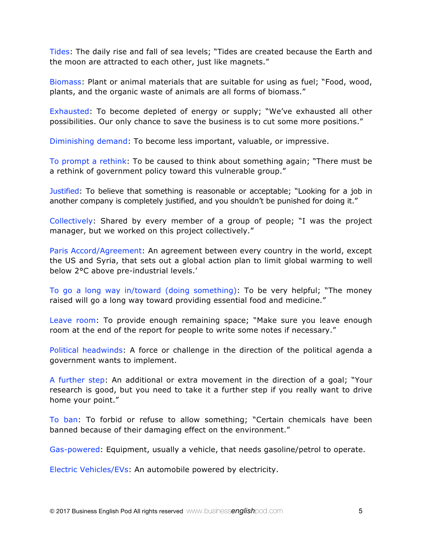Tides: The daily rise and fall of sea levels; "Tides are created because the Earth and the moon are attracted to each other, just like magnets."

Biomass: Plant or animal materials that are suitable for using as fuel; "Food, wood, plants, and the organic waste of animals are all forms of biomass."

Exhausted: To become depleted of energy or supply; "We've exhausted all other possibilities. Our only chance to save the business is to cut some more positions."

Diminishing demand: To become less important, valuable, or impressive.

To prompt a rethink: To be caused to think about something again; "There must be a rethink of government policy toward this vulnerable group."

Justified: To believe that something is reasonable or acceptable; "Looking for a job in another company is completely justified, and you shouldn't be punished for doing it."

Collectively: Shared by every member of a group of people; "I was the project manager, but we worked on this project collectively."

Paris Accord/Agreement: An agreement between every country in the world, except the US and Syria, that sets out a global action plan to limit global warming to well below 2°C above pre-industrial levels.'

To go a long way in/toward (doing something): To be very helpful; "The money raised will go a long way toward providing essential food and medicine."

Leave room: To provide enough remaining space; "Make sure you leave enough room at the end of the report for people to write some notes if necessary."

Political headwinds: A force or challenge in the direction of the political agenda a government wants to implement.

A further step: An additional or extra movement in the direction of a goal; "Your research is good, but you need to take it a further step if you really want to drive home your point."

To ban: To forbid or refuse to allow something; "Certain chemicals have been banned because of their damaging effect on the environment."

Gas-powered: Equipment, usually a vehicle, that needs gasoline/petrol to operate.

Electric Vehicles/EVs: An automobile powered by electricity.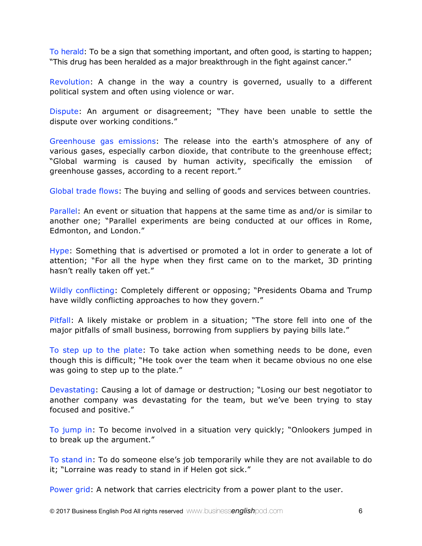To herald: To be a sign that something important, and often good, is starting to happen; "This drug has been heralded as a major breakthrough in the fight against cancer."

Revolution: A change in the way a country is governed, usually to a different political system and often using violence or war.

Dispute: An argument or disagreement; "They have been unable to settle the dispute over working conditions."

Greenhouse gas emissions: The release into the earth's atmosphere of any of various gases, especially carbon dioxide, that contribute to the greenhouse effect; "Global warming is caused by human activity, specifically the emission of greenhouse gasses, according to a recent report."

Global trade flows: The buying and selling of goods and services between countries.

Parallel: An event or situation that happens at the same time as and/or is similar to another one; "Parallel experiments are being conducted at our offices in Rome, Edmonton, and London."

Hype: Something that is advertised or promoted a lot in order to generate a lot of attention; "For all the hype when they first came on to the market, 3D printing hasn't really taken off yet."

Wildly conflicting: Completely different or opposing; "Presidents Obama and Trump have wildly conflicting approaches to how they govern."

Pitfall: A likely mistake or problem in a situation; "The store fell into one of the major pitfalls of small business, borrowing from suppliers by paying bills late."

To step up to the plate: To take action when something needs to be done, even though this is difficult; "He took over the team when it became obvious no one else was going to step up to the plate."

Devastating: Causing a lot of damage or destruction; "Losing our best negotiator to another company was devastating for the team, but we've been trying to stay focused and positive."

To jump in: To become involved in a situation very quickly; "Onlookers jumped in to break up the argument."

To stand in: To do someone else's job temporarily while they are not available to do it; "Lorraine was ready to stand in if Helen got sick."

Power grid: A network that carries electricity from a power plant to the user.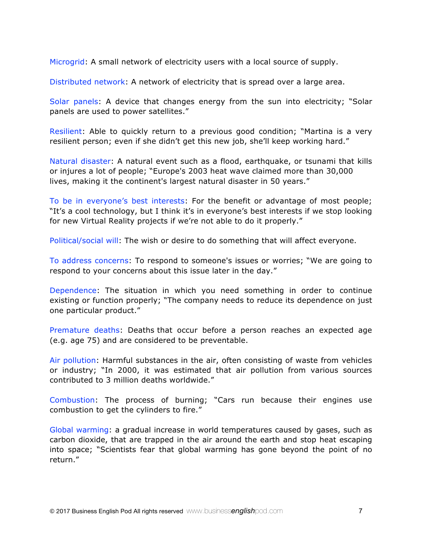Microgrid: A small network of electricity users with a local source of supply.

Distributed network: A network of electricity that is spread over a large area.

Solar panels: A device that changes energy from the sun into electricity; "Solar panels are used to power satellites."

Resilient: Able to quickly return to a previous good condition; "Martina is a very resilient person; even if she didn't get this new job, she'll keep working hard."

Natural disaster: A natural event such as a flood, earthquake, or tsunami that kills or injures a lot of people; "Europe's 2003 heat wave claimed more than 30,000 lives, making it the continent's largest natural disaster in 50 years."

To be in everyone's best interests: For the benefit or advantage of most people; "It's a cool technology, but I think it's in everyone's best interests if we stop looking for new Virtual Reality projects if we're not able to do it properly."

Political/social will: The wish or desire to do something that will affect everyone.

To address concerns: To respond to someone's issues or worries; "We are going to respond to your concerns about this issue later in the day."

Dependence: The situation in which you need something in order to continue existing or function properly; "The company needs to reduce its dependence on just one particular product."

Premature deaths: Deaths that occur before a person reaches an expected age (e.g. age 75) and are considered to be preventable.

Air pollution: Harmful substances in the air, often consisting of waste from vehicles or industry; "In 2000, it was estimated that air pollution from various sources contributed to 3 million deaths worldwide."

Combustion: The process of burning; "Cars run because their engines use combustion to get the cylinders to fire."

Global warming: a gradual increase in world temperatures caused by gases, such as carbon dioxide, that are trapped in the air around the earth and stop heat escaping into space; "Scientists fear that global warming has gone beyond the point of no return."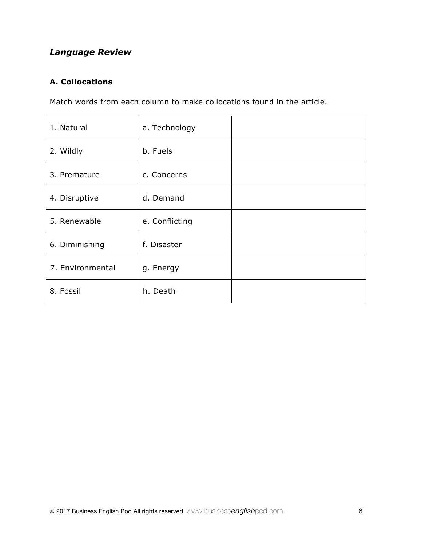## *Language Review*

## **A. Collocations**

Match words from each column to make collocations found in the article.

| 1. Natural       | a. Technology  |  |
|------------------|----------------|--|
| 2. Wildly        | b. Fuels       |  |
| 3. Premature     | c. Concerns    |  |
| 4. Disruptive    | d. Demand      |  |
| 5. Renewable     | e. Conflicting |  |
| 6. Diminishing   | f. Disaster    |  |
| 7. Environmental | g. Energy      |  |
| 8. Fossil        | h. Death       |  |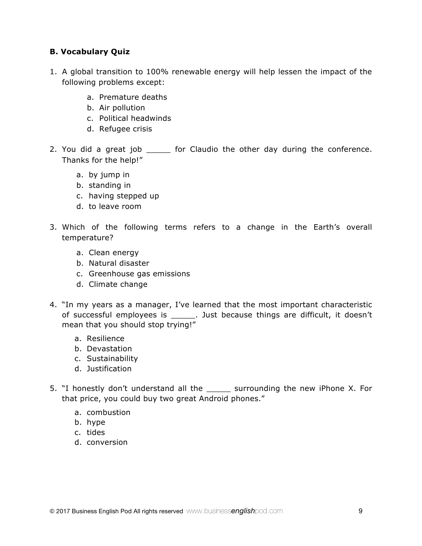#### **B. Vocabulary Quiz**

- 1. A global transition to 100% renewable energy will help lessen the impact of the following problems except:
	- a. Premature deaths
	- b. Air pollution
	- c. Political headwinds
	- d. Refugee crisis
- 2. You did a great job \_\_\_\_\_\_ for Claudio the other day during the conference. Thanks for the help!"
	- a. by jump in
	- b. standing in
	- c. having stepped up
	- d. to leave room
- 3. Which of the following terms refers to a change in the Earth's overall temperature?
	- a. Clean energy
	- b. Natural disaster
	- c. Greenhouse gas emissions
	- d. Climate change
- 4. "In my years as a manager, I've learned that the most important characteristic of successful employees is \_\_\_\_\_. Just because things are difficult, it doesn't mean that you should stop trying!"
	- a. Resilience
	- b. Devastation
	- c. Sustainability
	- d. Justification
- 5. "I honestly don't understand all the \_\_\_\_\_ surrounding the new iPhone X. For that price, you could buy two great Android phones."
	- a. combustion
	- b. hype
	- c. tides
	- d. conversion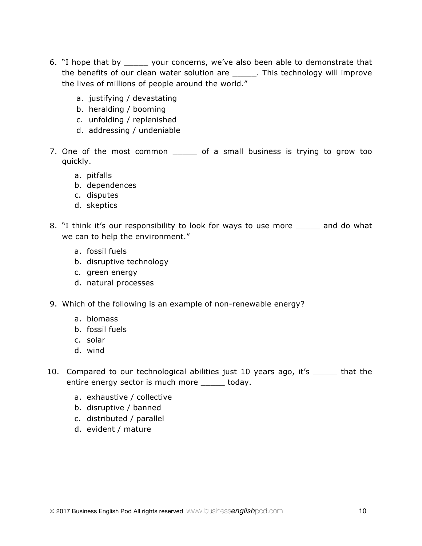- 6. "I hope that by \_\_\_\_\_ your concerns, we've also been able to demonstrate that the benefits of our clean water solution are \_\_\_\_\_\_. This technology will improve the lives of millions of people around the world."
	- a. justifying / devastating
	- b. heralding / booming
	- c. unfolding / replenished
	- d. addressing / undeniable
- 7. One of the most common \_\_\_\_\_ of a small business is trying to grow too quickly.
	- a. pitfalls
	- b. dependences
	- c. disputes
	- d. skeptics
- 8. "I think it's our responsibility to look for ways to use more \_\_\_\_\_ and do what we can to help the environment."
	- a. fossil fuels
	- b. disruptive technology
	- c. green energy
	- d. natural processes
- 9. Which of the following is an example of non-renewable energy?
	- a. biomass
	- b. fossil fuels
	- c. solar
	- d. wind
- 10. Compared to our technological abilities just 10 years ago, it's \_\_\_\_\_ that the entire energy sector is much more \_\_\_\_\_ today.
	- a. exhaustive / collective
	- b. disruptive / banned
	- c. distributed / parallel
	- d. evident / mature